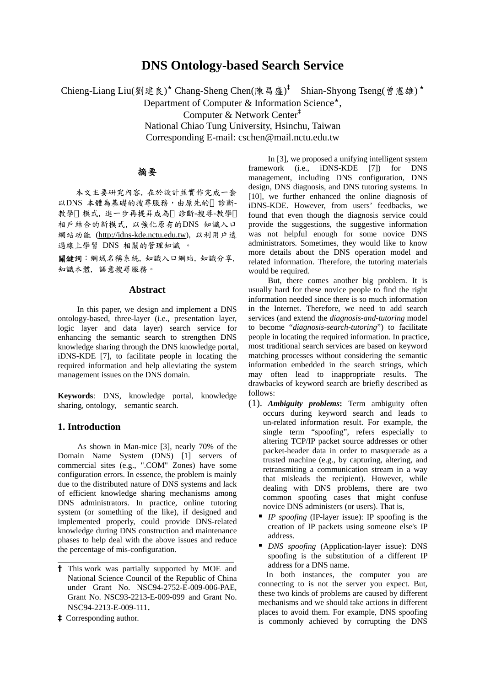# **DNS Ontology-based Search Service**

Chieng-Liang Liu(劉建良)\* Chang-Sheng Chen(陳昌盛)<sup>†</sup> Shian-Shyong Tseng(曾憲雄)\*

Department of Computer & Information Science<sup> $\star$ </sup>.

Computer & Network Center‡

National Chiao Tung University, Hsinchu, Taiwan Corresponding E-mail: cschen@mail.nctu.edu.tw

## 摘要

本文主要研究內容, 在於設計並實作完成一套 以DNS 本體為基礎的搜尋服務,由原先的 診斷-教學 模式, 進一步再提昇成為 診斷-搜尋-教學 相戶結合的新模式, 以強化原有的DNS 知識入口 網站功能 ([http://idns-kde.nctu.edu.tw](http://idns-kde.nctu.edu.tw/)), 以利用戶透 過線上學習 DNS 相關的管理知識 。

關鍵詞:網域名稱系統, 知識入口網站, 知識分享, 知識本體, 語意搜尋服務。

## **Abstract**

In this paper, we design and implement a DNS ontology-based, three-layer (i.e., presentation layer, logic layer and data layer) search service for enhancing the semantic search to strengthen DNS knowledge sharing through the DNS knowledge portal, iDNS-KDE [7], to facilitate people in locating the required information and help alleviating the system management issues on the DNS domain.

**Keywords**: DNS, knowledge portal, knowledge sharing, ontology, semantic search.

## **1. Introduction**

As shown in Man-mice [3], nearly 70% of the Domain Name System (DNS) [1] servers of commercial sites (e.g., ".COM" Zones) have some configuration errors. In essence, the problem is mainly due to the distributed nature of DNS systems and lack of efficient knowledge sharing mechanisms among DNS administrators. In practice, online tutoring system (or something of the like), if designed and implemented properly, could provide DNS-related knowledge during DNS construction and maintenance phases to help deal with the above issues and reduce the percentage of mis-configuration.

**‡** Corresponding author.

l

In [3], we proposed a unifying intelligent system framework (i.e., iDNS-KDE [7]) for DNS management, including DNS configuration, DNS design, DNS diagnosis, and DNS tutoring systems. In [10], we further enhanced the online diagnosis of iDNS-KDE. However, from users' feedbacks, we found that even though the diagnosis service could provide the suggestions, the suggestive information was not helpful enough for some novice DNS administrators. Sometimes, they would like to know more details about the DNS operation model and related information. Therefore, the tutoring materials would be required.

But, there comes another big problem. It is usually hard for these novice people to find the right information needed since there is so much information in the Internet. Therefore, we need to add search services (and extend the *diagnosis-and-tutoring* model to become "*diagnosis-search-tutoring*") to facilitate people in locating the required information. In practice, most traditional search services are based on keyword matching processes without considering the semantic information embedded in the search strings, which may often lead to inappropriate results. The drawbacks of keyword search are briefly described as follows:

- (1). *Ambiguity problems***:** Term ambiguity often occurs during keyword search and leads to un-related information result. For example, the single term "spoofing", [refers](http://cdict.giga.net.tw/q/refers) [especially](http://cdict.giga.net.tw/q/especially) [to](http://cdict.giga.net.tw/q/to) [altering](http://cdict.giga.net.tw/q/altering) [TCP](http://cdict.giga.net.tw/q/TCP)[/IP](http://cdict.giga.net.tw/q/IP) [packet](http://cdict.giga.net.tw/q/packet) [source](http://cdict.giga.net.tw/q/source) [addresses](http://cdict.giga.net.tw/q/addresses) [or](http://cdict.giga.net.tw/q/or) [other](http://cdict.giga.net.tw/q/other) [packet](http://cdict.giga.net.tw/q/packet)[-header](http://cdict.giga.net.tw/q/header) [data](http://cdict.giga.net.tw/q/data) [in](http://cdict.giga.net.tw/q/in) [order](http://cdict.giga.net.tw/q/order) [to](http://cdict.giga.net.tw/q/to) [masquerade](http://cdict.giga.net.tw/q/masquerade) [as](http://cdict.giga.net.tw/q/as) [a](http://cdict.giga.net.tw/q/a) [trusted](http://cdict.giga.net.tw/q/trusted) [machine](http://cdict.giga.net.tw/q/machine) (e.g., by captu[ring,](http://cdict.giga.net.tw/q/capture) [alteri](http://cdict.giga.net.tw/q/alter)ng, [and](http://cdict.giga.net.tw/q/and) [retransmit](http://cdict.giga.net.tw/q/retransmit)ing [a](http://cdict.giga.net.tw/q/a) [communication](http://cdict.giga.net.tw/q/communication) [stream](http://cdict.giga.net.tw/q/stream) [in](http://cdict.giga.net.tw/q/in) [a](http://cdict.giga.net.tw/q/a) [way](http://cdict.giga.net.tw/q/way) [that](http://cdict.giga.net.tw/q/that) [misleads](http://cdict.giga.net.tw/q/misleads) [the](http://cdict.giga.net.tw/q/the) [recipient\)](http://cdict.giga.net.tw/q/recipient). However, while dealing with DNS problems, there are two common spoofing cases that might confuse novice DNS administers (or users). That is,
	- *IP spoofing* (IP-layer issue): IP spoofing is the creation of IP packets using someone else's IP address.
	- *DNS spoofing* (Application-layer issue): DNS spoofing is the substitution of a different IP address for a DNS name.

In both instances, the computer you are connecting to is not the server you expect. But, these two kinds of problems are caused by different mechanisms and we should take actions in different places to avoid them. For example, DNS spoofing is commonly achieved by corrupting the DNS

**<sup>†</sup>** This work was partially supported by MOE and National Science Council of the Republic of China under Grant No. NSC94-2752-E-009-006-PAE, Grant No. NSC93-2213-E-009-099 and Grant No. NSC94-2213-E-009-111.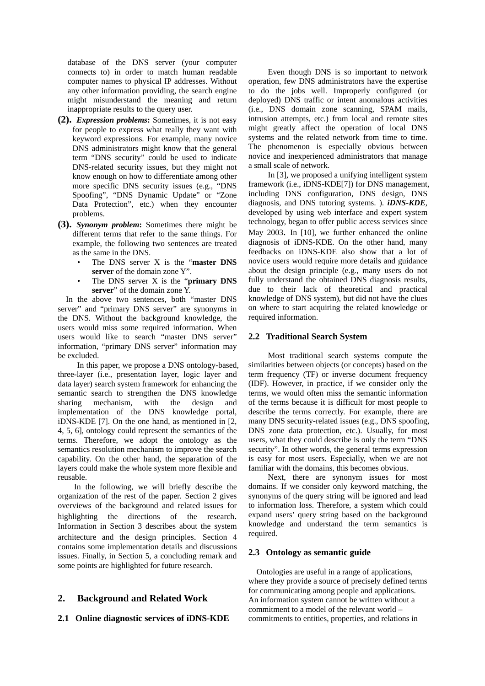database of the DNS server (your computer connects to) in order to match human readable computer names to physical IP addresses. Without any other information providing, the search engine might misunderstand the meaning and return inappropriate results to the query user.

- **(2).** *Expression problems***:** Sometimes, it is not easy for people to express what really they want with keyword expressions. For example, many novice DNS administrators might know that the general term "DNS security" could be used to indicate DNS-related security issues, but they might not know enough on how to differentiate among other more specific DNS security issues (e.g., "DNS Spoofing", "DNS Dynamic Update" or "Zone Data Protection", etc.) when they encounter problems.
- **(3).** *Synonym problem***:** Sometimes there might be different terms that refer to the same things. For example, the following two sentences are treated as the same in the DNS.
	- The DNS server X is the "**master DNS server** of the domain zone Y".
	- The DNS server X is the "**primary DNS server**" of the domain zone Y.

In the above two sentences, both "master DNS server" and "primary DNS server" are synonyms in the DNS. Without the background knowledge, the users would miss some required information. When users would like to search "master DNS server" information, "primary DNS server" information may be excluded.

In this paper, we propose a DNS ontology-based, three-layer (i.e., presentation layer, logic layer and data layer) search system framework for enhancing the semantic search to strengthen the DNS knowledge sharing mechanism, with the design and implementation of the DNS knowledge portal, iDNS-KDE [7]. On the one hand, as mentioned in [2, 4, 5, 6], ontology could represent the semantics of the terms. Therefore, we adopt the ontology as the semantics resolution mechanism to improve the search capability. On the other hand, the separation of the layers could make the whole system more flexible and reusable.

In the following, we will briefly describe the organization of the rest of the paper. Section 2 gives overviews of the background and related issues for highlighting the directions of the research. Information in Section 3 describes about the system architecture and the design principles. Section 4 contains some implementation details and discussions issues. Finally, in Section 5, a concluding remark and some points are highlighted for future research.

## **2. Background and Related Work**

## **2.1 Online diagnostic services of iDNS-KDE**

Even though DNS is so important to network operation, few DNS administrators have the expertise to do the jobs well. Improperly configured (or deployed) DNS traffic or intent anomalous activities (i.e., DNS domain zone scanning, SPAM mails, intrusion attempts, etc.) from local and remote sites might greatly affect the operation of local DNS systems and the related network from time to time. The phenomenon is especially obvious between novice and inexperienced administrators that manage a small scale of network.

In [3], we proposed a unifying intelligent system framework (i.e., iDNS-KDE[7]) for DNS management, including DNS configuration, DNS design, DNS diagnosis, and DNS tutoring systems. ). *iDNS-KDE*, developed by using web interface and expert system technology, began to offer public access services since May 2003. In [10], we further enhanced the online diagnosis of iDNS-KDE. On the other hand, many feedbacks on iDNS-KDE also show that a lot of novice users would require more details and guidance about the design principle (e.g., many users do not fully understand the obtained DNS diagnosis results, due to their lack of theoretical and practical knowledge of DNS system), but did not have the clues on where to start acquiring the related knowledge or required information.

## **2.2 Traditional Search System**

Most traditional search systems compute the similarities between objects (or concepts) based on the term frequency (TF) or inverse document frequency (IDF). However, in practice, if we consider only the terms, we would often miss the semantic information of the terms because it is difficult for most people to describe the terms correctly. For example, there are many DNS security-related issues (e.g., DNS spoofing, DNS zone data protection, etc.). Usually, for most users, what they could describe is only the term "DNS security". In other words, the general terms expression is easy for most users. Especially, when we are not familiar with the domains, this becomes obvious.

Next, there are synonym issues for most domains. If we consider only keyword matching, the synonyms of the query string will be ignored and lead to information loss. Therefore, a system which could expand users' query string based on the background knowledge and understand the term semantics is required.

#### **2.3 Ontology as semantic guide**

Ontologies are useful in a range of applications, where they provide a source of precisely defined terms for communicating among people and applications. An information system cannot be written without a commitment to a model of the relevant world – commitments to entities, properties, and relations in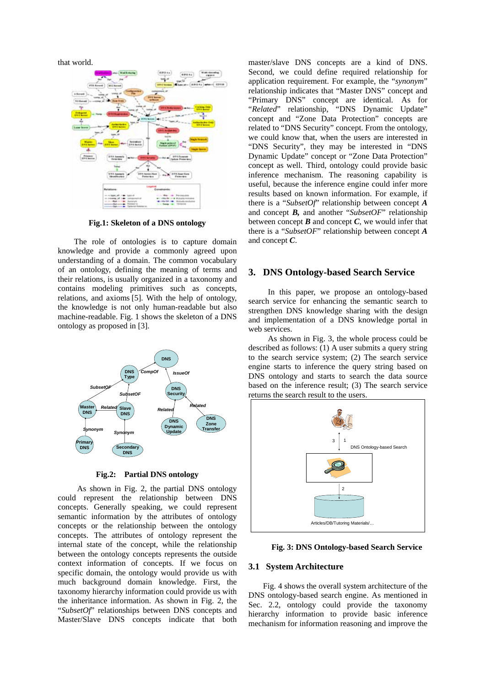that world.



**Fig.1: Skeleton of a DNS ontology**

The role of ontologies is to capture domain knowledge and provide a commonly agreed upon understanding of a domain. The common vocabulary of an ontology, defining the meaning of terms and their relations, is usually organized in a taxonomy and contains modeling primitives such as concepts, relations, and axioms [5]. With the help of ontology, the knowledge is not only human-readable but also machine-readable. Fig. 1 shows the skeleton of a DNS ontology as proposed in [3].



**Fig.2: Partial DNS ontology**

As shown in Fig. 2, the partial DNS ontology could represent the relationship between DNS concepts. Generally speaking, we could represent semantic information by the attributes of ontology concepts or the relationship between the ontology concepts. The attributes of ontology represent the internal state of the concept, while the relationship between the ontology concepts represents the outside context information of concepts. If we focus on specific domain, the ontology would provide us with much background domain knowledge. First, the taxonomy hierarchy information could provide us with the inheritance information. As shown in Fig. 2, the "*SubsetOf*" relationships between DNS concepts and Master/Slave DNS concepts indicate that both

master/slave DNS concepts are a kind of DNS. Second, we could define required relationship for application requirement. For example, the "*synonym*" relationship indicates that "Master DNS" concept and "Primary DNS" concept are identical. As for "*Related*" relationship, "DNS Dynamic Update" concept and "Zone Data Protection" concepts are related to "DNS Security" concept. From the ontology, we could know that, when the users are interested in "DNS Security", they may be interested in "DNS Dynamic Update" concept or "Zone Data Protection" concept as well. Third, ontology could provide basic inference mechanism. The reasoning capability is useful, because the inference engine could infer more results based on known information. For example, if there is a "*SubsetOf*" relationship between concept *A* and concept *B,* and another "*SubsetOF*" relationship between concept  $\bm{B}$  and concept  $\bm{C}$ , we would infer that there is a "*SubsetOF*" relationship between concept *A* and concept *C*.

## **3. DNS Ontology-based Search Service**

In this paper, we propose an ontology-based search service for enhancing the semantic search to strengthen DNS knowledge sharing with the design and implementation of a DNS knowledge portal in web services.

As shown in Fig. 3, the whole process could be described as follows: (1) A user submits a query string to the search service system; (2) The search service engine starts to inference the query string based on DNS ontology and starts to search the data source based on the inference result; (3) The search service returns the search result to the users.



**Fig. 3: DNS Ontology-based Search Service** 

#### **3.1 System Architecture**

Fig. 4 shows the overall system architecture of the DNS ontology-based search engine. As mentioned in Sec. 2.2, ontology could provide the taxonomy hierarchy information to provide basic inference mechanism for information reasoning and improve the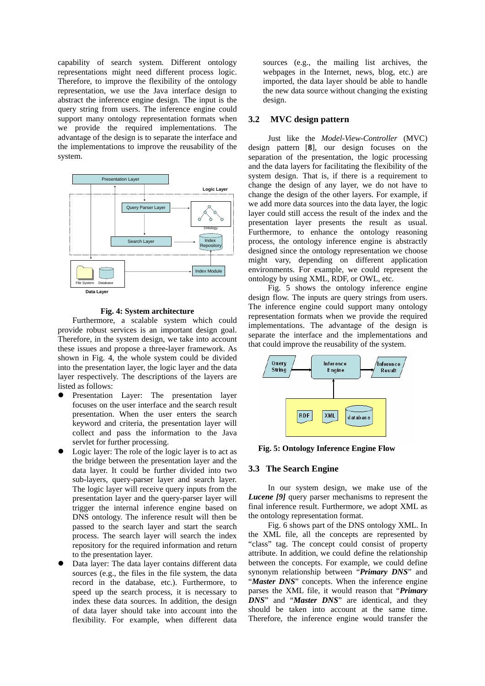capability of search system. Different ontology representations might need different process logic. Therefore, to improve the flexibility of the ontology representation, we use the Java interface design to abstract the inference engine design. The input is the query string from users. The inference engine could support many ontology representation formats when we provide the required implementations. The advantage of the design is to separate the interface and the implementations to improve the reusability of the system.



#### **Fig. 4: System architecture**

Furthermore, a scalable system which could provide robust services is an important design goal. Therefore, in the system design, we take into account these issues and propose a three-layer framework. As shown in Fig. 4, the whole system could be divided into the presentation layer, the logic layer and the data layer respectively. The descriptions of the layers are listed as follows:

- Presentation Layer: The presentation layer focuses on the user interface and the search result presentation. When the user enters the search keyword and criteria, the presentation layer will collect and pass the information to the Java servlet for further processing.
- Logic layer: The role of the logic layer is to act as the bridge between the presentation layer and the data layer. It could be further divided into two sub-layers, query-parser layer and search layer. The logic layer will receive query inputs from the presentation layer and the query-parser layer will trigger the internal inference engine based on DNS ontology. The inference result will then be passed to the search layer and start the search process. The search layer will search the index repository for the required information and return to the presentation layer.
- Data layer: The data layer contains different data sources (e.g., the files in the file system, the data record in the database, etc.). Furthermore, to speed up the search process, it is necessary to index these data sources. In addition, the design of data layer should take into account into the flexibility. For example, when different data

sources (e.g., the mailing list archives, the webpages in the Internet, news, blog, etc.) are imported, the data layer should be able to handle the new data source without changing the existing design.

#### **3.2 MVC design pattern**

Just like the *Model-View-Controller* (MVC) design pattern [**8**], our design focuses on the separation of the presentation, the logic processing and the data layers for facilitating the flexibility of the system design. That is, if there is a requirement to change the design of any layer, we do not have to change the design of the other layers. For example, if we add more data sources into the data layer, the logic layer could still access the result of the index and the presentation layer presents the result as usual. Furthermore, to enhance the ontology reasoning process, the ontology inference engine is abstractly designed since the ontology representation we choose might vary, depending on different application environments. For example, we could represent the ontology by using XML, RDF, or OWL, etc.

Fig. 5 shows the ontology inference engine design flow. The inputs are query strings from users. The inference engine could support many ontology representation formats when we provide the required implementations. The advantage of the design is separate the interface and the implementations and that could improve the reusability of the system.



**Fig. 5: Ontology Inference Engine Flow**

#### **3.3 The Search Engine**

In our system design, we make use of the *Lucene* [9] query parser mechanisms to represent the final inference result. Furthermore, we adopt XML as the ontology representation format.

Fig. 6 shows part of the DNS ontology XML. In the XML file, all the concepts are represented by "class" tag. The concept could consist of property attribute. In addition, we could define the relationship between the concepts. For example, we could define synonym relationship between "*Primary DNS*" and "Master DNS" concepts. When the inference engine parses the XML file, it would reason that "*Primary DNS*" and "*Master DNS*" are identical, and they should be taken into account at the same time. Therefore, the inference engine would transfer the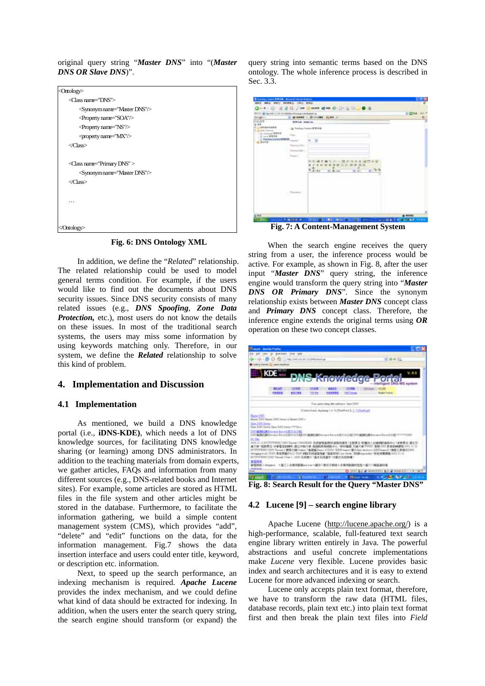original query string "*Master DNS*" into "(*Master DNS OR Slave DNS*)".

| <ontology></ontology>                 |
|---------------------------------------|
| <class name="DNS"></class>            |
| <synonym name="Master DNS"></synonym> |
| <property name="SOA"></property>      |
| <property name="NS"></property>       |
| <property name="MX"></property>       |
| $\langle$ Class>                      |
|                                       |
| <class name="Primary DNS"></class>    |
| <synonym name="Master DNS"></synonym> |
| $\langle$ Class>                      |
|                                       |
|                                       |
|                                       |
|                                       |
|                                       |

**Fig. 6: DNS Ontology XML**

In addition, we define the "*Related*" relationship. The related relationship could be used to model general terms condition. For example, if the users would like to find out the documents about DNS security issues. Since DNS security consists of many related issues (e.g., *DNS Spoofing*, *Zone Data Protection,* etc.), most users do not know the details on these issues. In most of the traditional search systems, the users may miss some information by using keywords matching only. Therefore, in our system, we define the *Related* relationship to solve this kind of problem.

## **4. Implementation and Discussion**

## **4.1 Implementation**

As mentioned, we build a DNS knowledge portal (i.e., **iDNS-KDE)**, which needs a lot of DNS knowledge sources, for facilitating DNS knowledge sharing (or learning) among DNS administrators. In addition to the teaching materials from domain experts, we gather articles, FAQs and information from many different sources (e.g., DNS-related books and Internet sites). For example, some articles are stored as HTML files in the file system and other articles might be stored in the database. Furthermore, to facilitate the information gathering, we build a simple content management system (CMS), which provides "add", "delete" and "edit" functions on the data, for the information management. Fig.7 shows the data insertion interface and users could enter title, keyword, or description etc. information.

Next, to speed up the search performance, an indexing mechanism is required. *Apache Lucene*  provides the index mechanism, and we could define what kind of data should be extracted for indexing. In addition, when the users enter the search query string, the search engine should transform (or expand) the query string into semantic terms based on the DNS ontology. The whole inference process is described in Sec. 3.3.

| FILE A MAIL 1127 27 28 ENTERT FOR A CHARGE OF<br>00 MARK - 01/4 CAN 12 MAR 2                                                                                  |                         |                                                                        | H 1398                                                  |
|---------------------------------------------------------------------------------------------------------------------------------------------------------------|-------------------------|------------------------------------------------------------------------|---------------------------------------------------------|
| Gregoria<br>72.37<br>9.98<br>1.99466484<br>۰<br><b>JETARI</b> , Fokulong<br>L Lerange BRFIS<br>3 10 c 99 ft ft<br>1. See hour convert \$15.50<br>U. Alle Well | <b>SIMILAR Relation</b> |                                                                        |                                                         |
|                                                                                                                                                               |                         | is Trailers Frame WW F.B.                                              |                                                         |
|                                                                                                                                                               |                         |                                                                        |                                                         |
|                                                                                                                                                               | <b>Car</b>              |                                                                        |                                                         |
|                                                                                                                                                               |                         |                                                                        |                                                         |
|                                                                                                                                                               | mai liter               |                                                                        |                                                         |
|                                                                                                                                                               | <b>CONTRACTOR</b>       |                                                                        |                                                         |
|                                                                                                                                                               | - Kissour               |                                                                        |                                                         |
|                                                                                                                                                               |                         |                                                                        |                                                         |
|                                                                                                                                                               |                         | 8.85<br>÷<br>٠<br>٠<br>$-1$<br><b>Lock</b>                             |                                                         |
|                                                                                                                                                               |                         |                                                                        |                                                         |
|                                                                                                                                                               |                         |                                                                        |                                                         |
|                                                                                                                                                               |                         |                                                                        |                                                         |
|                                                                                                                                                               | Total Advis             |                                                                        |                                                         |
|                                                                                                                                                               |                         |                                                                        |                                                         |
|                                                                                                                                                               |                         |                                                                        |                                                         |
|                                                                                                                                                               |                         |                                                                        |                                                         |
|                                                                                                                                                               |                         |                                                                        |                                                         |
| (sa<br>TГ                                                                                                                                                     | <b>TORY #</b>           | <b>Page</b><br><b>SELL</b><br><b>Dealer</b><br>みつ 世 見信<br><b>STY</b> A | $#$ <i><b>HYLASI</b></i><br><b>Wild and South Terms</b> |

**Fig. 7: A Content-Management System** 

When the search engine receives the query string from a user, the inference process would be active. For example, as shown in Fig. 8, after the user input "*Master DNS*" query string, the inference engine would transform the query string into "*Master DNS OR Primary DNS*". Since the synonym relationship exists between *Master DNS* concept class and *Primary DNS* concept class. Therefore, the inference engine extends the original terms using *OR* operation on these two concept classes.



**Fig. 8: Search Result for the Query "Master DNS"**

## **4.2 Lucene [9] – search engine library**

Apache Lucene (<http://lucene.apache.org/>) is a high-performance, scalable, full-featured text search engine library written entirely in Java. The powerful abstractions and useful concrete implementations make *Lucene* very flexible. Lucene provides basic index and search architectures and it is easy to extend Lucene for more advanced indexing or search.

Lucene only accepts plain text format, therefore, we have to transform the raw data (HTML files, database records, plain text etc.) into plain text format first and then break the plain text files into *Field*